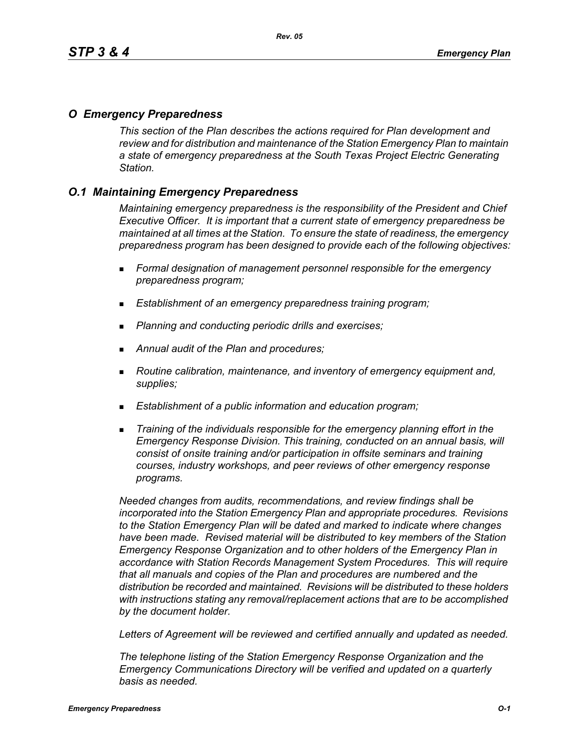### *O Emergency Preparedness*

*This section of the Plan describes the actions required for Plan development and review and for distribution and maintenance of the Station Emergency Plan to maintain a state of emergency preparedness at the South Texas Project Electric Generating Station.*

## *O.1 Maintaining Emergency Preparedness*

*Maintaining emergency preparedness is the responsibility of the President and Chief Executive Officer. It is important that a current state of emergency preparedness be maintained at all times at the Station. To ensure the state of readiness, the emergency preparedness program has been designed to provide each of the following objectives:*

- *Formal designation of management personnel responsible for the emergency preparedness program;*
- *Establishment of an emergency preparedness training program;*
- *Planning and conducting periodic drills and exercises;*
- *Annual audit of the Plan and procedures;*
- *Routine calibration, maintenance, and inventory of emergency equipment and, supplies;*
- *Establishment of a public information and education program;*
- *Training of the individuals responsible for the emergency planning effort in the Emergency Response Division. This training, conducted on an annual basis, will consist of onsite training and/or participation in offsite seminars and training courses, industry workshops, and peer reviews of other emergency response programs.*

*Needed changes from audits, recommendations, and review findings shall be incorporated into the Station Emergency Plan and appropriate procedures. Revisions to the Station Emergency Plan will be dated and marked to indicate where changes have been made. Revised material will be distributed to key members of the Station Emergency Response Organization and to other holders of the Emergency Plan in accordance with Station Records Management System Procedures. This will require that all manuals and copies of the Plan and procedures are numbered and the distribution be recorded and maintained. Revisions will be distributed to these holders with instructions stating any removal/replacement actions that are to be accomplished by the document holder.*

*Letters of Agreement will be reviewed and certified annually and updated as needed.*

*The telephone listing of the Station Emergency Response Organization and the Emergency Communications Directory will be verified and updated on a quarterly basis as needed.*